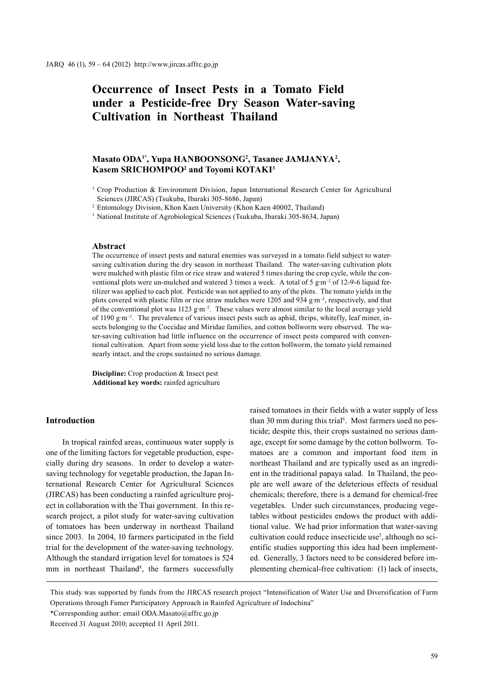# **Occurrence of Insect Pests in a Tomato Field under a Pesticide-free Dry Season Water-saving Cultivation in Northeast Thailand**

# **Masato ODA1\*, Yupa HANBOONSONG2 , Tasanee JAMJANYA2 , Kasem SRICHOMPOO2 and Toyomi KOTAKI3**

<sup>2</sup> Entomology Division, Khon Kaen University (Khon Kaen 40002, Thailand)

<sup>3</sup> National Institute of Agrobiological Sciences (Tsukuba, Ibaraki 305-8634, Japan)

# **Abstract**

The occurrence of insect pests and natural enemies was surveyed in a tomato field subject to watersaving cultivation during the dry season in northeast Thailand. The water-saving cultivation plots were mulched with plastic film or rice straw and watered 5 times during the crop cycle, while the conventional plots were un-mulched and watered 3 times a week. A total of 5 g·m<sup>-2</sup> of 12-9-6 liquid fertilizer was applied to each plot. Pesticide was not applied to any of the plots. The tomato yields in the plots covered with plastic film or rice straw mulches were 1205 and 934 g·m<sup>-2</sup>, respectively, and that of the conventional plot was  $1123 \text{ g} \cdot \text{m}^{-2}$ . These values were almost similar to the local average yield of 1190 g·m<sup>-2</sup>. The prevalence of various insect pests such as aphid, thrips, whitefly, leaf miner, insects belonging to the Coccidae and Miridae families, and cotton bollworm were observed. The water-saving cultivation had little influence on the occurrence of insect pests compared with conventional cultivation. Apart from some yield loss due to the cotton bollworm, the tomato yield remained nearly intact, and the crops sustained no serious damage.

**Discipline:** Crop production & Insect pest **Additional key words:** rainfed agriculture

## **Introduction**

In tropical rainfed areas, continuous water supply is one of the limiting factors for vegetable production, especially during dry seasons. In order to develop a watersaving technology for vegetable production, the Japan International Research Center for Agricultural Sciences (JIRCAS) has been conducting a rainfed agriculture project in collaboration with the Thai government. In this research project, a pilot study for water-saving cultivation of tomatoes has been underway in northeast Thailand since 2003. In 2004, 10 farmers participated in the field trial for the development of the water-saving technology. Although the standard irrigation level for tomatoes is 524 mm in northeast Thailand<sup>8</sup>, the farmers successfully raised tomatoes in their fields with a water supply of less than 30 mm during this trial<sup>6</sup>. Most farmers used no pesticide; despite this, their crops sustained no serious damage, except for some damage by the cotton bollworm. Tomatoes are a common and important food item in northeast Thailand and are typically used as an ingredient in the traditional papaya salad. In Thailand, the people are well aware of the deleterious effects of residual chemicals; therefore, there is a demand for chemical-free vegetables. Under such circumstances, producing vegetables without pesticides endows the product with additional value. We had prior information that water-saving cultivation could reduce insecticide use<sup>5</sup>, although no scientific studies supporting this idea had been implemented. Generally, 3 factors need to be considered before implementing chemical-free cultivation: (1) lack of insects,

This study was supported by funds from the JIRCAS research project "Intensification of Water Use and Diversification of Farm Operations through Famer Participatory Approach in Rainfed Agriculture of Indochina"

\*Corresponding author: email ODA.Masato@affrc.go.jp

<sup>&</sup>lt;sup>1</sup> Crop Production & Environment Division, Japan International Research Center for Agricultural Sciences (JIRCAS) (Tsukuba, Ibaraki 305-8686, Japan)

Received 31 August 2010; accepted 11 April 2011.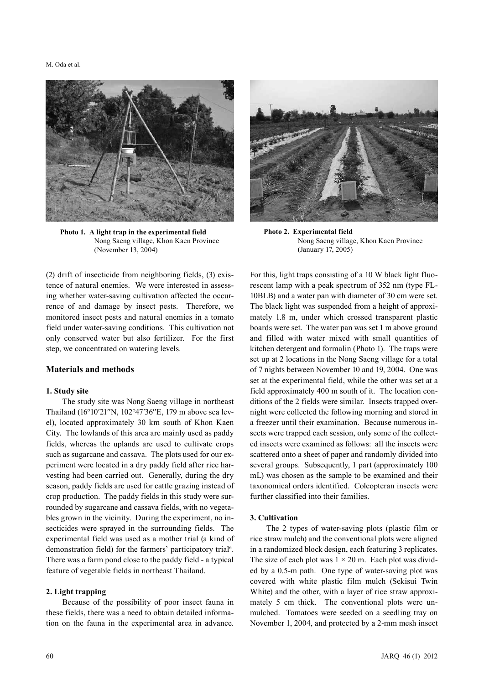#### M. Oda et al.



**Photo 1. A light trap in the experimental field** Nong Saeng village, Khon Kaen Province (November 13, 2004)

(2) drift of insecticide from neighboring fields, (3) existence of natural enemies. We were interested in assessing whether water-saving cultivation affected the occurrence of and damage by insect pests. Therefore, we monitored insect pests and natural enemies in a tomato field under water-saving conditions. This cultivation not only conserved water but also fertilizer. For the first step, we concentrated on watering levels.

# **Materials and methods**

#### **1. Study site**

The study site was Nong Saeng village in northeast Thailand (16°10′21′′N, 102°47′36′′E, 179 m above sea level), located approximately 30 km south of Khon Kaen City. The lowlands of this area are mainly used as paddy fields, whereas the uplands are used to cultivate crops such as sugarcane and cassava. The plots used for our experiment were located in a dry paddy field after rice harvesting had been carried out. Generally, during the dry season, paddy fields are used for cattle grazing instead of crop production. The paddy fields in this study were surrounded by sugarcane and cassava fields, with no vegetables grown in the vicinity. During the experiment, no insecticides were sprayed in the surrounding fields. The experimental field was used as a mother trial (a kind of demonstration field) for the farmers' participatory trial<sup>6</sup>. There was a farm pond close to the paddy field - a typical feature of vegetable fields in northeast Thailand.

## **2. Light trapping**

Because of the possibility of poor insect fauna in these fields, there was a need to obtain detailed information on the fauna in the experimental area in advance.



**Photo 2. Experimental field** Nong Saeng village, Khon Kaen Province (January 17, 2005)

For this, light traps consisting of a 10 W black light fluorescent lamp with a peak spectrum of 352 nm (type FL-10BLB) and a water pan with diameter of 30 cm were set. The black light was suspended from a height of approximately 1.8 m, under which crossed transparent plastic boards were set. The water pan was set 1 m above ground and filled with water mixed with small quantities of kitchen detergent and formalin (Photo 1). The traps were set up at 2 locations in the Nong Saeng village for a total of 7 nights between November 10 and 19, 2004. One was set at the experimental field, while the other was set at a field approximately 400 m south of it. The location conditions of the 2 fields were similar. Insects trapped overnight were collected the following morning and stored in a freezer until their examination. Because numerous insects were trapped each session, only some of the collected insects were examined as follows: all the insects were scattered onto a sheet of paper and randomly divided into several groups. Subsequently, 1 part (approximately 100) mL) was chosen as the sample to be examined and their taxonomical orders identified. Coleopteran insects were further classified into their families.

#### **3. Cultivation**

The 2 types of water-saving plots (plastic film or rice straw mulch) and the conventional plots were aligned in a randomized block design, each featuring 3 replicates. The size of each plot was  $1 \times 20$  m. Each plot was divided by a 0.5-m path. One type of water-saving plot was covered with white plastic film mulch (Sekisui Twin White) and the other, with a layer of rice straw approximately 5 cm thick. The conventional plots were unmulched. Tomatoes were seeded on a seedling tray on November 1, 2004, and protected by a 2-mm mesh insect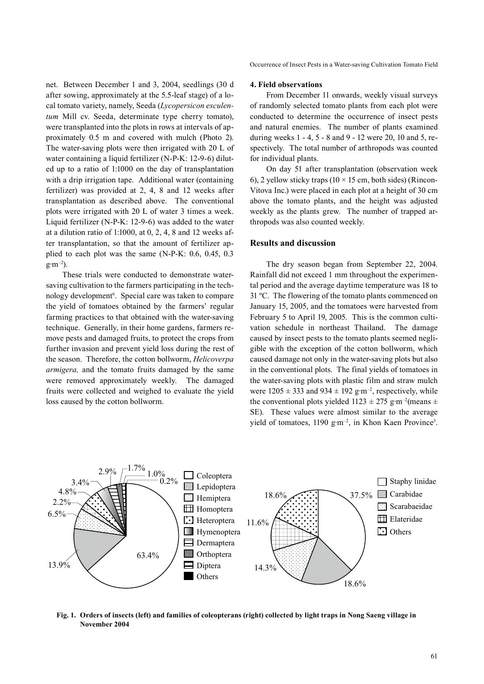net. Between December 1 and 3, 2004, seedlings (30 d after sowing, approximately at the 5.5-leaf stage) of a local tomato variety, namely, Seeda (*Lycopersicon esculentum* Mill cv. Seeda, determinate type cherry tomato), were transplanted into the plots in rows at intervals of approximately 0.5 m and covered with mulch (Photo 2). The water-saving plots were then irrigated with 20 L of water containing a liquid fertilizer (N-P-K: 12-9-6) diluted up to a ratio of 1:1000 on the day of transplantation with a drip irrigation tape. Additional water (containing) fertilizer) was provided at 2, 4, 8 and 12 weeks after transplantation as described above. The conventional plots were irrigated with 20 L of water 3 times a week. Liquid fertilizer (N-P-K: 12-9-6) was added to the water at a dilution ratio of 1:1000, at 0, 2, 4, 8 and 12 weeks after transplantation, so that the amount of fertilizer applied to each plot was the same (N-P-K: 0.6, 0.45, 0.3  $g \cdot m^{-2}$ ).

These trials were conducted to demonstrate watersaving cultivation to the farmers participating in the technology development<sup>6</sup>. Special care was taken to compare the yield of tomatoes obtained by the farmers' regular farming practices to that obtained with the water-saving technique. Generally, in their home gardens, farmers remove pests and damaged fruits, to protect the crops from further invasion and prevent yield loss during the rest of the season. Therefore, the cotton bollworm, *Helicoverpa armigera,* and the tomato fruits damaged by the same were removed approximately weekly. The damaged fruits were collected and weighed to evaluate the yield loss caused by the cotton bollworm.

Occurrence of Insect Pests in a Water-saving Cultivation Tomato Field

## **4. Field observations**

From December 11 onwards, weekly visual surveys of randomly selected tomato plants from each plot were conducted to determine the occurrence of insect pests and natural enemies. The number of plants examined during weeks 1 - 4, 5 - 8 and 9 - 12 were 20, 10 and 5, respectively. The total number of arthropods was counted for individual plants.

On day 51 after transplantation (observation week 6), 2 yellow sticky traps ( $10 \times 15$  cm, both sides) (Rincon-Vitova Inc.) were placed in each plot at a height of 30 cm above the tomato plants, and the height was adjusted weekly as the plants grew. The number of trapped arthropods was also counted weekly.

## **Results and discussion**

The dry season began from September 22, 2004. Rainfall did not exceed 1 mm throughout the experimental period and the average daytime temperature was 18 to 31 ºC. The flowering of the tomato plants commenced on January 15, 2005, and the tomatoes were harvested from February 5 to April 19, 2005. This is the common cultivation schedule in northeast Thailand. The damage caused by insect pests to the tomato plants seemed negligible with the exception of the cotton bollworm, which caused damage not only in the water-saving plots but also in the conventional plots. The final yields of tomatoes in the water-saving plots with plastic film and straw mulch were  $1205 \pm 333$  and  $934 \pm 192$  g·m<sup>-2</sup>, respectively, while the conventional plots yielded  $1123 \pm 275$  g·m<sup>-2</sup>(means  $\pm$ SE). These values were almost similar to the average yield of tomatoes,  $1190 \text{ g} \cdot \text{m}^{-2}$ , in Khon Kaen Province<sup>3</sup>.



**Fig. 1. Orders of insects (left) and families of coleopterans (right) collected by light traps in Nong Saeng village in November 2004**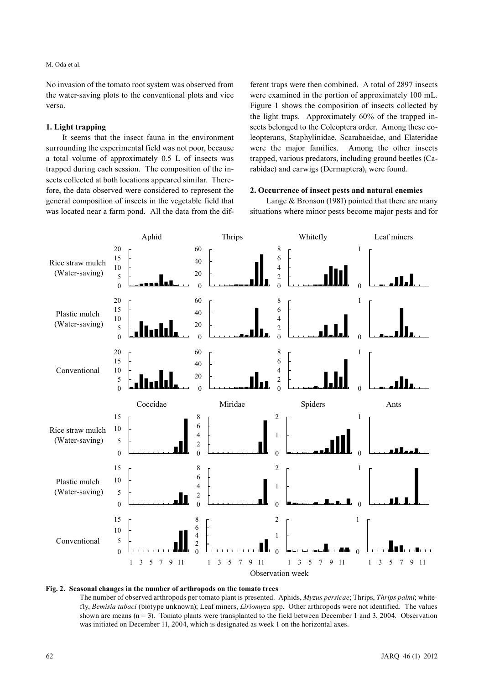## M. Oda et al.

No invasion of the tomato root system was observed from the water-saving plots to the conventional plots and vice versa.

#### **1. Light trapping**

It seems that the insect fauna in the environment surrounding the experimental field was not poor, because a total volume of approximately 0.5 L of insects was trapped during each session. The composition of the insects collected at both locations appeared similar. Therefore, the data observed were considered to represent the general composition of insects in the vegetable field that was located near a farm pond. All the data from the different traps were then combined. A total of 2897 insects were examined in the portion of approximately 100 mL. Figure 1 shows the composition of insects collected by the light traps. Approximately 60% of the trapped insects belonged to the Coleoptera order. Among these coleopterans, Staphylinidae, Scarabaeidae, and Elateridae were the major families. Among the other insects trapped, various predators, including ground beetles (Carabidae) and earwigs (Dermaptera), were found.

# **2. Occurrence of insect pests and natural enemies**

Lange & Bronson (1981) pointed that there are many situations where minor pests become major pests and for



#### **Fig. 2. Seasonal changes in the number of arthropods on the tomato trees**

The number of observed arthropods per tomato plant is presented. Aphids, *Myzus persicae*; Thrips, *Thrips palmi*; whitefly, *Bemisia tabaci* (biotype unknown); Leaf miners, *Liriomyza* spp. Other arthropods were not identified. The values shown are means (n = 3). Tomato plants were transplanted to the field between December 1 and 3, 2004. Observation was initiated on December 11, 2004, which is designated as week 1 on the horizontal axes.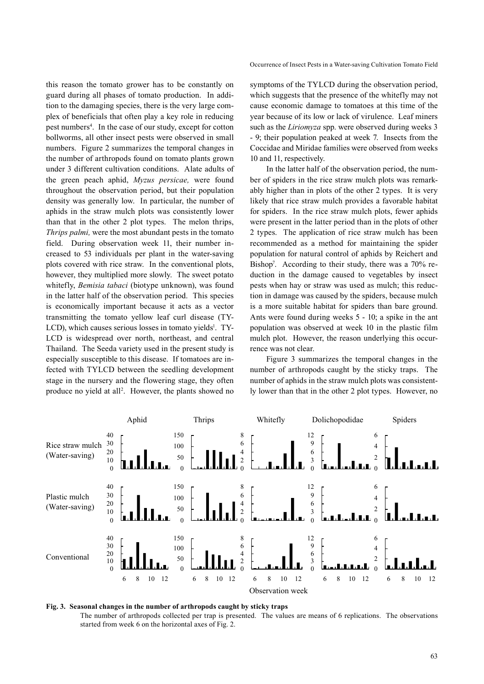this reason the tomato grower has to be constantly on guard during all phases of tomato production. In addition to the damaging species, there is the very large complex of beneficials that often play a key role in reducing pest numbers<sup>4</sup>. In the case of our study, except for cotton bollworms, all other insect pests were observed in small numbers. Figure 2 summarizes the temporal changes in the number of arthropods found on tomato plants grown under 3 different cultivation conditions. Alate adults of the green peach aphid, *Myzus persicae,* were found throughout the observation period, but their population density was generally low. In particular, the number of aphids in the straw mulch plots was consistently lower than that in the other 2 plot types. The melon thrips, *Thrips palmi,* were the most abundant pests in the tomato field. During observation week 11, their number increased to 53 individuals per plant in the water-saving plots covered with rice straw. In the conventional plots, however, they multiplied more slowly. The sweet potato whitefly, *Bemisia tabaci* (biotype unknown), was found in the latter half of the observation period. This species is economically important because it acts as a vector transmitting the tomato yellow leaf curl disease (TY-LCD), which causes serious losses in tomato yields<sup>1</sup>. TY-LCD is widespread over north, northeast, and central Thailand. The Seeda variety used in the present study is especially susceptible to this disease. If tomatoes are infected with TYLCD between the seedling development stage in the nursery and the flowering stage, they often produce no yield at all<sup>2</sup>. However, the plants showed no symptoms of the TYLCD during the observation period, which suggests that the presence of the whitefly may not cause economic damage to tomatoes at this time of the year because of its low or lack of virulence. Leaf miners such as the *Liriomyza* spp. were observed during weeks 3 - 9; their population peaked at week 7. Insects from the Coccidae and Miridae families were observed from weeks 10 and 11, respectively.

In the latter half of the observation period, the number of spiders in the rice straw mulch plots was remarkably higher than in plots of the other 2 types. It is very likely that rice straw mulch provides a favorable habitat for spiders. In the rice straw mulch plots, fewer aphids were present in the latter period than in the plots of other 2 types. The application of rice straw mulch has been recommended as a method for maintaining the spider population for natural control of aphids by Reichert and Bishop<sup>7</sup>. According to their study, there was a 70% reduction in the damage caused to vegetables by insect pests when hay or straw was used as mulch; this reduction in damage was caused by the spiders, because mulch is a more suitable habitat for spiders than bare ground. Ants were found during weeks 5 - 10; a spike in the ant population was observed at week 10 in the plastic film mulch plot. However, the reason underlying this occurrence was not clear.

Figure 3 summarizes the temporal changes in the number of arthropods caught by the sticky traps. The number of aphids in the straw mulch plots was consistently lower than that in the other 2 plot types. However, no

![](_page_4_Figure_5.jpeg)

**Fig. 3. Seasonal changes in the number of arthropods caught by sticky traps** The number of arthropods collected per trap is presented. The values are means of 6 replications. The observations started from week 6 on the horizontal axes of Fig. 2.